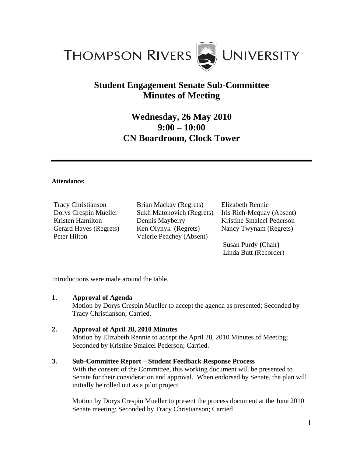

## **Student Engagement Senate Sub-Committee Minutes of Meeting**

# **Wednesday, 26 May 2010 9:00 – 10:00 CN Boardroom, Clock Tower**

#### **Attendance:**

Tracy Christianson Dorys Crespin Mueller Kristen Hamilton Gerard Hayes (Regrets) Peter Hilton

Brian Mackay (Regrets) Sukh Matonovich (Regrets) Dennis Mayberry Ken Olynyk (Regrets) Valerie Peachey (Absent)

Elizabeth Rennie Iris Rich-Mcquay (Absent) Kristine Smalcel Pederson Nancy Twynam (Regrets)

Susan Purdy **(**Chair**)**  Linda Butt **(**Recorder)

Introductions were made around the table.

#### **1. Approval of Agenda**

Motion by Dorys Crespin Mueller to accept the agenda as presented; Seconded by Tracy Christianson; Carried.

#### **2. Approval of April 28, 2010 Minutes**

Motion by Elizabeth Rennie to accept the April 28, 2010 Minutes of Meeting; Seconded by Kristine Smalcel Pederson; Carried.

#### **3. Sub-Committee Report – Student Feedback Response Process**

With the consent of the Committee, this working document will be presented to Senate for their consideration and approval. When endorsed by Senate, the plan will initially be rolled out as a pilot project.

 Motion by Dorys Crespin Mueller to present the process document at the June 2010 Senate meeting; Seconded by Tracy Christianson; Carried